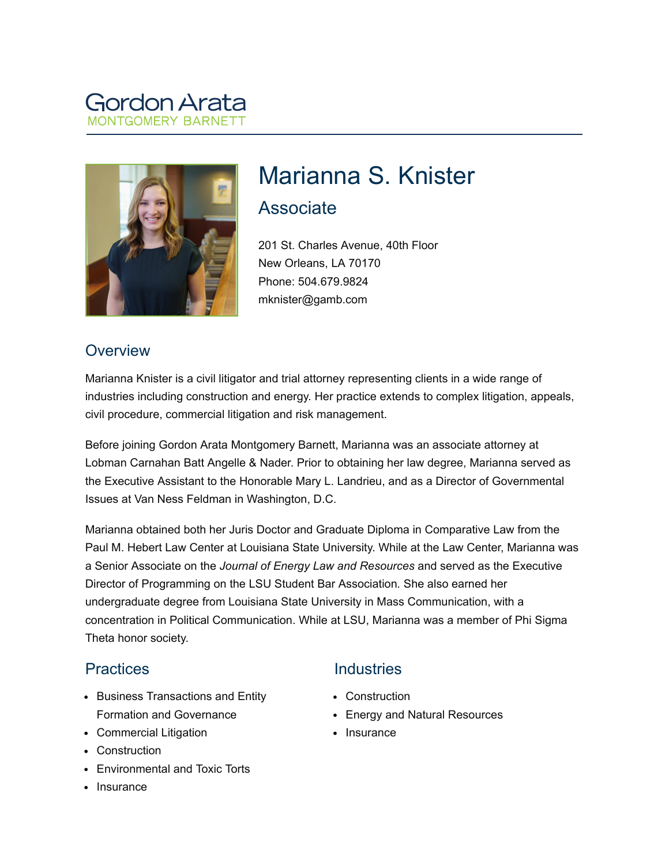# Gordon Arata **NTGOMERY BAR**



# Marianna S. Knister Associate

201 St. Charles Avenue, 40th Floor New Orleans, LA 70170 Phone: 504.679.9824 mknister@gamb.com

## **Overview**

Marianna Knister is a civil litigator and trial attorney representing clients in a wide range of industries including construction and energy. Her practice extends to complex litigation, appeals, civil procedure, commercial litigation and risk management.

Before joining Gordon Arata Montgomery Barnett, Marianna was an associate attorney at Lobman Carnahan Batt Angelle & Nader. Prior to obtaining her law degree, Marianna served as the Executive Assistant to the Honorable Mary L. Landrieu, and as a Director of Governmental Issues at Van Ness Feldman in Washington, D.C.

Marianna obtained both her Juris Doctor and Graduate Diploma in Comparative Law from the Paul M. Hebert Law Center at Louisiana State University. While at the Law Center, Marianna was a Senior Associate on the *Journal of Energy Law and Resources* and served as the Executive Director of Programming on the LSU Student Bar Association*.* She also earned her undergraduate degree from Louisiana State University in Mass Communication, with a concentration in Political Communication. While at LSU, Marianna was a member of Phi Sigma Theta honor society.

#### **Practices**

- Business Transactions and Entity Formation and Governance
- Commercial Litigation
- Construction
- Environmental and Toxic Torts
- Insurance

# **Industries**

- Construction
- Energy and Natural Resources
- Insurance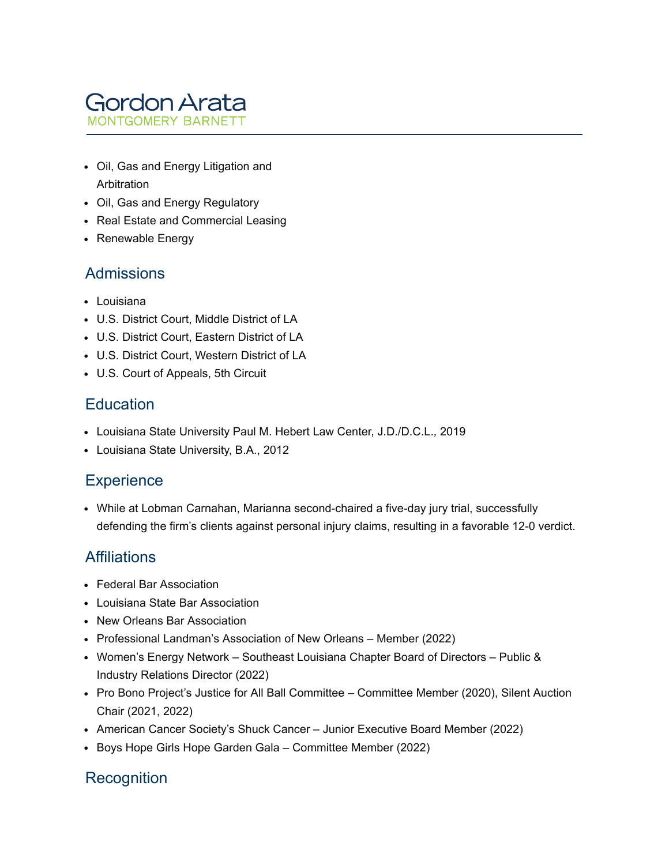

- Oil, Gas and Energy Litigation and Arbitration
- Oil, Gas and Energy Regulatory
- Real Estate and Commercial Leasing
- Renewable Energy

#### Admissions

- Louisiana
- U.S. District Court, Middle District of LA
- U.S. District Court, Eastern District of LA
- U.S. District Court, Western District of LA
- U.S. Court of Appeals, 5th Circuit

#### **Education**

- Louisiana State University Paul M. Hebert Law Center, J.D./D.C.L.*,* 2019
- Louisiana State University, B.A., 2012

#### **Experience**

While at Lobman Carnahan, Marianna second-chaired a five-day jury trial, successfully defending the firm's clients against personal injury claims, resulting in a favorable 12-0 verdict.

#### **Affiliations**

- Federal Bar Association
- Louisiana State Bar Association
- New Orleans Bar Association
- Professional Landman's Association of New Orleans Member (2022)
- Women's Energy Network Southeast Louisiana Chapter Board of Directors Public & Industry Relations Director (2022)
- Pro Bono Project's Justice for All Ball Committee Committee Member (2020), Silent Auction Chair (2021, 2022)
- American Cancer Society's Shuck Cancer Junior Executive Board Member (2022)
- Boys Hope Girls Hope Garden Gala Committee Member (2022)

#### **Recognition**